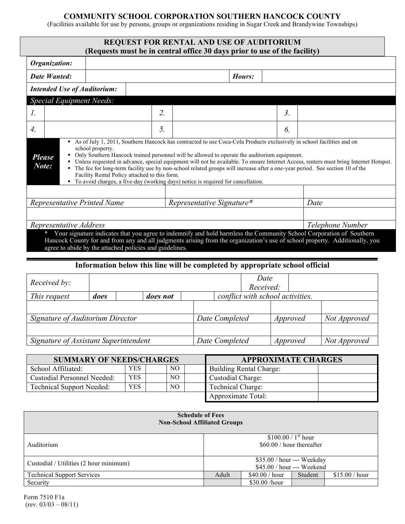## **COMMUNITY SCHOOL CORPORATION SOUTHERN HANCOCK COUNTY**

(Facilities available for use by persons, groups or organizations residing in Sugar Creek and Brandywine Townships)

|                                    |      | <b>REQUEST FOR RENTAL AND USE OF AUDITORIUM</b><br>(Requests must be in central office 30 days prior to use of the facility)                                                                                                                                                                                                                                                                    |  |                           |                                  |                |      |  |
|------------------------------------|------|-------------------------------------------------------------------------------------------------------------------------------------------------------------------------------------------------------------------------------------------------------------------------------------------------------------------------------------------------------------------------------------------------|--|---------------------------|----------------------------------|----------------|------|--|
| Organization:                      |      |                                                                                                                                                                                                                                                                                                                                                                                                 |  |                           |                                  |                |      |  |
| <b>Date Wanted:</b>                |      | Hours:                                                                                                                                                                                                                                                                                                                                                                                          |  |                           |                                  |                |      |  |
| <b>Intended Use of Auditorium:</b> |      |                                                                                                                                                                                                                                                                                                                                                                                                 |  |                           |                                  |                |      |  |
| <b>Special Equipment Needs:</b>    |      |                                                                                                                                                                                                                                                                                                                                                                                                 |  |                           |                                  |                |      |  |
| $\mathcal{I}$ .                    |      | 2.                                                                                                                                                                                                                                                                                                                                                                                              |  |                           |                                  | 3 <sub>1</sub> |      |  |
| $\overline{4}$ .                   |      | 5.                                                                                                                                                                                                                                                                                                                                                                                              |  |                           |                                  | 6.             |      |  |
|                                    |      | • The fee for long-term facility use by non-school related groups will increase after a one-year period. See section 10 of the<br>Facility Rental Policy attached to this form.<br>To avoid charges, a five-day (working days) notice is required for cancellation.                                                                                                                             |  | Representative Signature* |                                  |                |      |  |
| Representative Printed Name        |      |                                                                                                                                                                                                                                                                                                                                                                                                 |  |                           |                                  |                | Date |  |
| Representative Address             |      |                                                                                                                                                                                                                                                                                                                                                                                                 |  |                           | Telephone Number                 |                |      |  |
|                                    |      | * Your signature indicates that you agree to indemnify and hold harmless the Community School Corporation of Southern<br>Hancock County for and from any and all judgments arising from the organization's use of school property. Additionally, you<br>agree to abide by the attached policies and guidelines.<br>Information below this line will be completed by appropriate school official |  |                           |                                  |                |      |  |
| Received by:                       |      | Date<br>Received:                                                                                                                                                                                                                                                                                                                                                                               |  |                           |                                  |                |      |  |
| This request                       | does | does not                                                                                                                                                                                                                                                                                                                                                                                        |  |                           | conflict with school activities. |                |      |  |
|                                    |      |                                                                                                                                                                                                                                                                                                                                                                                                 |  |                           |                                  |                |      |  |

*Signature of Auditorium Director Date Completed Approved Not Approved Signature of Assistant Superintendent Date Completed Approved Not Approved*

| <b>SUMMARY OF NEEDS/CHARGES</b>  |            |  |     |  | <b>APPROXIMATE CHARGES</b> |  |  |  |
|----------------------------------|------------|--|-----|--|----------------------------|--|--|--|
| School Affiliated:               | <b>YES</b> |  | NO. |  | Building Rental Charge:    |  |  |  |
| Custodial Personnel Needed:      | <b>YES</b> |  | NO. |  | Custodial Charge:          |  |  |  |
| <b>Technical Support Needed:</b> | <b>YES</b> |  | NО  |  | <b>Technical Charge:</b>   |  |  |  |
|                                  |            |  |     |  | Approximate Total:         |  |  |  |

| <b>Schedule of Fees</b><br><b>Non-School Affiliated Groups</b> |                                                          |                |         |                |  |  |  |  |  |
|----------------------------------------------------------------|----------------------------------------------------------|----------------|---------|----------------|--|--|--|--|--|
| Auditorium                                                     | \$100.00 / $1st$ hour<br>$$60.00 / hour$ thereafter      |                |         |                |  |  |  |  |  |
| Custodial / Utilities (2 hour minimum)                         | \$35.00 / hour --- Weekday<br>\$45.00 / hour --- Weekend |                |         |                |  |  |  |  |  |
| <b>Technical Support Services</b>                              | Adult                                                    | \$40.00 / hour | Student | \$15.00 / hour |  |  |  |  |  |
| Security                                                       |                                                          | \$30.00/hour   |         |                |  |  |  |  |  |